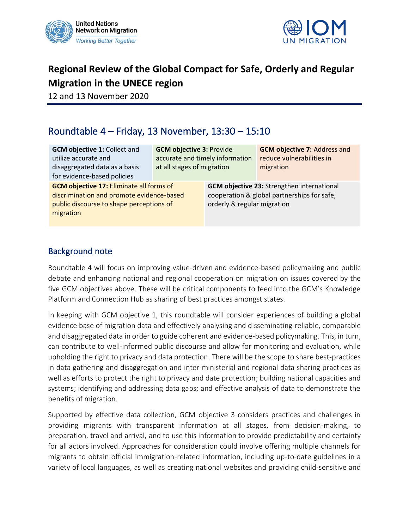



# **Regional Review of the Global Compact for Safe, Orderly and Regular Migration in the UNECE region**

12 and 13 November 2020

# Roundtable 4 – Friday, 13 November, 13:30 – 15:10

| <b>GCM objective 1: Collect and</b><br>utilize accurate and<br>disaggregated data as a basis<br>for evidence-based policies                           | <b>GCM objective 3: Provide</b><br>accurate and timely information<br>at all stages of migration |                                                                                                                                 | <b>GCM objective 7: Address and</b><br>reduce vulnerabilities in<br>migration |
|-------------------------------------------------------------------------------------------------------------------------------------------------------|--------------------------------------------------------------------------------------------------|---------------------------------------------------------------------------------------------------------------------------------|-------------------------------------------------------------------------------|
| <b>GCM objective 17: Eliminate all forms of</b><br>discrimination and promote evidence-based<br>public discourse to shape perceptions of<br>migration |                                                                                                  | <b>GCM objective 23: Strengthen international</b><br>cooperation & global partnerships for safe,<br>orderly & regular migration |                                                                               |

#### Background note

Roundtable 4 will focus on improving value-driven and evidence-based policymaking and public debate and enhancing national and regional cooperation on migration on issues covered by the five GCM objectives above. These will be critical components to feed into the GCM's Knowledge Platform and Connection Hub as sharing of best practices amongst states.

In keeping with GCM objective 1, this roundtable will consider experiences of building a global evidence base of migration data and effectively analysing and disseminating reliable, comparable and disaggregated data in order to guide coherent and evidence-based policymaking. This, in turn, can contribute to well-informed public discourse and allow for monitoring and evaluation, while upholding the right to privacy and data protection. There will be the scope to share best-practices in data gathering and disaggregation and inter-ministerial and regional data sharing practices as well as efforts to protect the right to privacy and date protection; building national capacities and systems; identifying and addressing data gaps; and effective analysis of data to demonstrate the benefits of migration.

Supported by effective data collection, GCM objective 3 considers practices and challenges in providing migrants with transparent information at all stages, from decision-making, to preparation, travel and arrival, and to use this information to provide predictability and certainty for all actors involved. Approaches for consideration could involve offering multiple channels for migrants to obtain official immigration-related information, including up-to-date guidelines in a variety of local languages, as well as creating national websites and providing child-sensitive and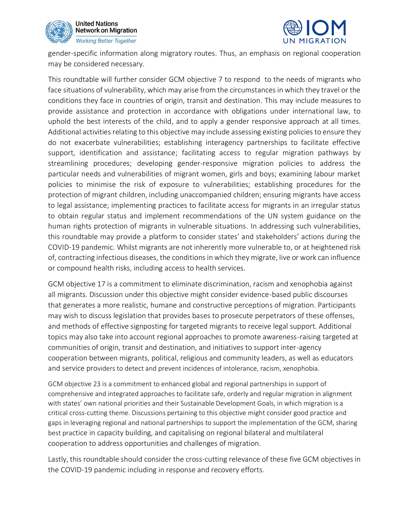



gender-specific information along migratory routes. Thus, an emphasis on regional cooperation may be considered necessary.

This roundtable will further consider GCM objective 7 to respond to the needs of migrants who face situations of vulnerability, which may arise from the circumstances in which they travel or the conditions they face in countries of origin, transit and destination. This may include measures to provide assistance and protection in accordance with obligations under international law, to uphold the best interests of the child, and to apply a gender responsive approach at all times. Additional activities relating to this objective may include assessing existing policies to ensure they do not exacerbate vulnerabilities; establishing interagency partnerships to facilitate effective support, identification and assistance; facilitating access to regular migration pathways by streamlining procedures; developing gender-responsive migration policies to address the particular needs and vulnerabilities of migrant women, girls and boys; examining labour market policies to minimise the risk of exposure to vulnerabilities; establishing procedures for the protection of migrant children, including unaccompanied children; ensuring migrants have access to legal assistance; implementing practices to facilitate access for migrants in an irregular status to obtain regular status and implement recommendations of the UN system guidance on the human rights protection of migrants in vulnerable situations. In addressing such vulnerabilities, this roundtable may provide a platform to consider states' and stakeholders' actions during the COVID-19 pandemic. Whilst migrants are not inherently more vulnerable to, or at heightened risk of, contracting infectious diseases, the conditions in which they migrate, live or work can influence or compound health risks, including access to health services.

GCM objective 17 is a commitment to eliminate discrimination, racism and xenophobia against all migrants. Discussion under this objective might consider evidence-based public discourses that generates a more realistic, humane and constructive perceptions of migration. Participants may wish to discuss legislation that provides bases to prosecute perpetrators of these offenses, and methods of effective signposting for targeted migrants to receive legal support. Additional topics may also take into account regional approaches to promote awareness-raising targeted at communities of origin, transit and destination, and initiatives to support inter-agency cooperation between migrants, political, religious and community leaders, as well as educators and service providers to detect and prevent incidences of intolerance, racism, xenophobia.

GCM objective 23 is a commitment to enhanced global and regional partnerships in support of comprehensive and integrated approaches to facilitate safe, orderly and regular migration in alignment with states' own national priorities and their Sustainable Development Goals, in which migration is a critical cross-cutting theme. Discussions pertaining to this objective might consider good practice and gaps in leveraging regional and national partnerships to support the implementation of the GCM, sharing best practice in capacity building, and capitalising on regional bilateral and multilateral cooperation to address opportunities and challenges of migration.

Lastly, this roundtable should consider the cross-cutting relevance of these five GCM objectives in the COVID-19 pandemic including in response and recovery efforts.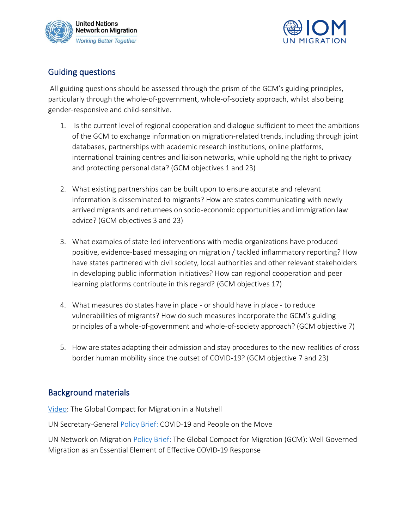



## Guiding questions

All guiding questions should be assessed through the prism of the GCM's guiding principles, particularly through the whole-of-government, whole-of-society approach, whilst also being gender-responsive and child-sensitive.

- 1. Is the current level of regional cooperation and dialogue sufficient to meet the ambitions of the GCM to exchange information on migration-related trends, including through joint databases, partnerships with academic research institutions, online platforms, international training centres and liaison networks, while upholding the right to privacy and protecting personal data? (GCM objectives 1 and 23)
- 2. What existing partnerships can be built upon to ensure accurate and relevant information is disseminated to migrants? How are states communicating with newly arrived migrants and returnees on socio-economic opportunities and immigration law advice? (GCM objectives 3 and 23)
- 3. What examples of state-led interventions with media organizations have produced positive, evidence-based messaging on migration / tackled inflammatory reporting? How have states partnered with civil society, local authorities and other relevant stakeholders in developing public information initiatives? How can regional cooperation and peer learning platforms contribute in this regard? (GCM objectives 17)
- 4. What measures do states have in place or should have in place to reduce vulnerabilities of migrants? How do such measures incorporate the GCM's guiding principles of a whole-of-government and whole-of-society approach? (GCM objective 7)
- 5. How are states adapting their admission and stay procedures to the new realities of cross border human mobility since the outset of COVID-19? (GCM objective 7 and 23)

## Background materials

[Video:](https://youtu.be/HZtOtSR_3f8) The Global Compact for Migration in a Nutshell

UN Secretary-General [Policy Brief:](https://www.un.org/sites/un2.un.org/files/sg_policy_brief_on_people_on_the_move.pdf) COVID-19 and People on the Move

UN Network on Migration [Policy Brief:](https://migrationnetwork.un.org/sites/default/files/docs/policy_brief-gcm_and_well_governed_migration_as_an_essential_element_of_effective_covid-19_response_1.pdf) The Global Compact for Migration (GCM): Well Governed Migration as an Essential Element of Effective COVID-19 Response